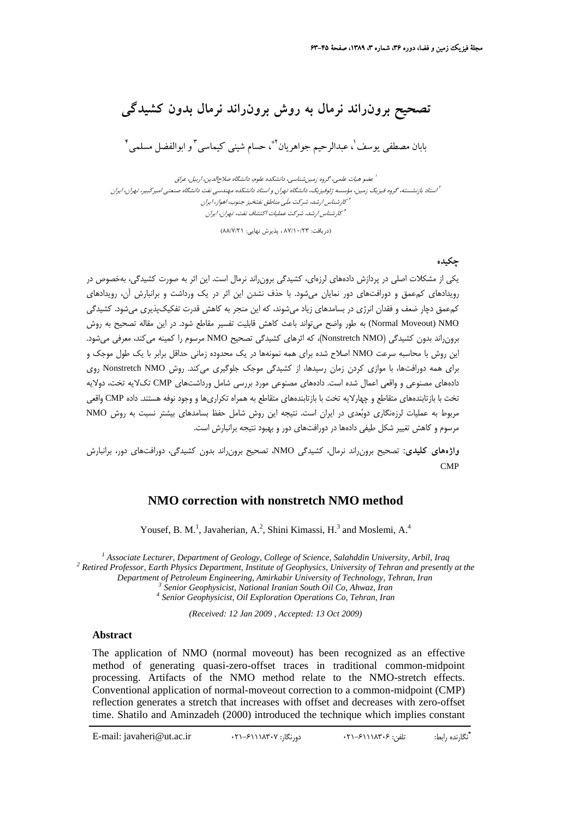**تصحيح برونراند نرمال به روش برونراند نرمال بدون كشيدگي**

بابان مصطفى يوسف ٰ، عبدالرحيم جواهريان ۡ ٞ، حسام شيني كيماسي ؑ و ابوالفضل مسلمي ٔ ۖ

عضو هيات علمي، گروه زمينشناسي، دانشكده علوم، دانشگاه صلاحالدين، اربيل، عراق <sup>1</sup> استاد بازنشسته، گروه فيزيك زمين، مؤسسه ژئوفيزيك، دانشگاه تهران <sup>و</sup> استاد دانشكده مهندسي نفت دانشگاه صنعتي اميركبير، تهران، ايران <sup>2</sup> كارشناس ارشد، شركت ملَي مناطق نفتخيز جنوب، اهواز، ايران <sup>3</sup> كارشناس ارشد، شركت عمليات اكتشاف نفت، تهران، ايران <sup>4</sup>

(دريافت: 87/10/23 ، پذيرش نهايي: 88/7/21)

**چكيده**

يكي از مشكلات اصلي در پردازش دادههاي لرزهاي، كشيدگي برونراند نرمال است. اين اثر به صورت كشيدگي، بهخصوص در رويدادهاي كمعمق و دورافتهاي دور نمايان ميشود. با حذف نشدن اين اثر در يك ورداشت و برانبارش آن، رويدادهاي كمعمق دچار ضعف و فقدان انرژي در بسامدهاي زياد ميشوند، كه اين منجر به كاهش قدرت تفكيكپذيري ميشود. كشيدگي Normal Moveout) NMO) به طور واضح ميتواند باعث كاهش قابليت تفسير مقاطع شود. در اين مقاله تصحيح به روش برونراند بدون كشيدگي (NMO Nonstretch(، كه اثرهاي كشيدگي تصحيح NMO مرسوم را كمينه ميكند، معرفي ميشود. اين روش با محاسبه سرعت NMO اصلاح شده براي همه نمونهها در يك محدوده زماني حداقل برابر با يك طول موجك و براي همه دورافتها، با موازي كردن زمان رسيدها، از كشيدگي موجك جلوگيري ميكند. روش NMO Nonstretch روي دادههاي مصنوعي و واقعي اعمال شده است. دادههاي مصنوعي مورد بررسي شامل ورداشتهاي CMP تكلايه تخت، دولايه تخت با بازتابندههاي متقاطع و چهارلايه تخت با بازتابندههاي متقاطع به همراه تكراريها و وجود نوفه هستند. داده CMP واقعي مربوط به عمليات لرزهنگاري دوبعدي در ايران است. نتيجه اين روش شامل حفظ بسامدهاي بيشتر نسبت به روش NMO مرسوم و كاهش تغيير شكل طيفي دادهها در دورافتهاي دور و بهبود نتيجه برانبارش است.

**واژههاي كليدي:** تصحيح برونراند نرمال، كشيدگي NMO، تصحيح برونراند بدون كشيدگي، دورافتهاي دور، برانبارش CMP

## **NMO correction with nonstretch NMO method**

Yousef, B. M.<sup>1</sup>, Javaherian, A.<sup>2</sup>, Shini Kimassi, H.<sup>3</sup> and Moslemi, A.<sup>4</sup>

<sup>1</sup> *Associate Lecturer, Department of Geology, College of Science, Salahddin University, Arbil, Iraq<sup>2</sup> Petinad Professor, Earth Physics Department Institute of Ceophysics, University of Tehnan and process <sup>1</sup> Retired Professor, Earth Physics Department, Institute of Geophysics, University of Tehran and presently at the*  Department of Petroleum Engineering, Amirkabir University of Technology, Tehran, Iran<br>
<sup>3</sup> Senior Geophysicist, National Iranian South Oil Co, Ahwaz, Iran<br>
<sup>4</sup> Senior Geophysicist, Oil Exploration Operations Co, Tehran, Ir

*(Received: 12 Jan 2009 , Accepted: 13 Oct 2009)* 

## **Abstract**

The application of NMO (normal moveout) has been recognized as an effective method of generating quasi-zero-offset traces in traditional common-midpoint processing. Artifacts of the NMO method relate to the NMO-stretch effects. Conventional application of normal-moveout correction to a common-midpoint (CMP) reflection generates a stretch that increases with offset and decreases with zero-offset time. Shatilo and Aminzadeh (2000) introduced the technique which implies constant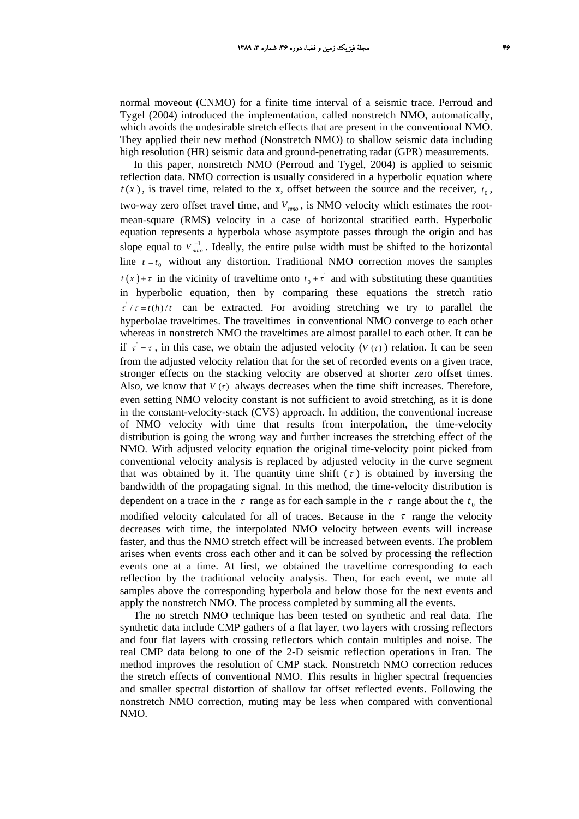normal moveout (CNMO) for a finite time interval of a seismic trace. Perroud and Tygel (2004) introduced the implementation, called nonstretch NMO, automatically, which avoids the undesirable stretch effects that are present in the conventional NMO. They applied their new method (Nonstretch NMO) to shallow seismic data including high resolution (HR) seismic data and ground-penetrating radar (GPR) measurements.

In this paper, nonstretch NMO (Perroud and Tygel, 2004) is applied to seismic reflection data. NMO correction is usually considered in a hyperbolic equation where  $t(x)$ , is travel time, related to the x, offset between the source and the receiver,  $t_0$ , two-way zero offset travel time, and  $V_{mno}$ , is NMO velocity which estimates the rootmean-square (RMS) velocity in a case of horizontal stratified earth. Hyperbolic equation represents a hyperbola whose asymptote passes through the origin and has slope equal to  $V_{nmo}^{-1}$ . Ideally, the entire pulse width must be shifted to the horizontal line  $t = t_0$  without any distortion. Traditional NMO correction moves the samples  $t(x) + \tau$  in the vicinity of traveltime onto  $t_0 + \tau$  and with substituting these quantities in hyperbolic equation, then by comparing these equations the stretch ratio  $\tau / \tau = t(h) / t$  can be extracted. For avoiding stretching we try to parallel the hyperbolae traveltimes. The traveltimes in conventional NMO converge to each other whereas in nonstretch NMO the traveltimes are almost parallel to each other. It can be if  $\tau = \tau$ , in this case, we obtain the adjusted velocity ( $V(\tau)$ ) relation. It can be seen from the adjusted velocity relation that for the set of recorded events on a given trace, stronger effects on the stacking velocity are observed at shorter zero offset times. Also, we know that  $V(\tau)$  always decreases when the time shift increases. Therefore, even setting NMO velocity constant is not sufficient to avoid stretching, as it is done in the constant-velocity-stack (CVS) approach. In addition, the conventional increase of NMO velocity with time that results from interpolation, the time-velocity distribution is going the wrong way and further increases the stretching effect of the NMO. With adjusted velocity equation the original time-velocity point picked from conventional velocity analysis is replaced by adjusted velocity in the curve segment that was obtained by it. The quantity time shift ( $\tau$ ) is obtained by inversing the bandwidth of the propagating signal. In this method, the time-velocity distribution is dependent on a trace in the  $\tau$  range as for each sample in the  $\tau$  range about the  $t_0$  the modified velocity calculated for all of traces. Because in the  $\tau$  range the velocity decreases with time, the interpolated NMO velocity between events will increase faster, and thus the NMO stretch effect will be increased between events. The problem arises when events cross each other and it can be solved by processing the reflection events one at a time. At first, we obtained the traveltime corresponding to each reflection by the traditional velocity analysis. Then, for each event, we mute all samples above the corresponding hyperbola and below those for the next events and apply the nonstretch NMO. The process completed by summing all the events.

The no stretch NMO technique has been tested on synthetic and real data. The synthetic data include CMP gathers of a flat layer, two layers with crossing reflectors and four flat layers with crossing reflectors which contain multiples and noise. The real CMP data belong to one of the 2-D seismic reflection operations in Iran. The method improves the resolution of CMP stack. Nonstretch NMO correction reduces the stretch effects of conventional NMO. This results in higher spectral frequencies and smaller spectral distortion of shallow far offset reflected events. Following the nonstretch NMO correction, muting may be less when compared with conventional NMO.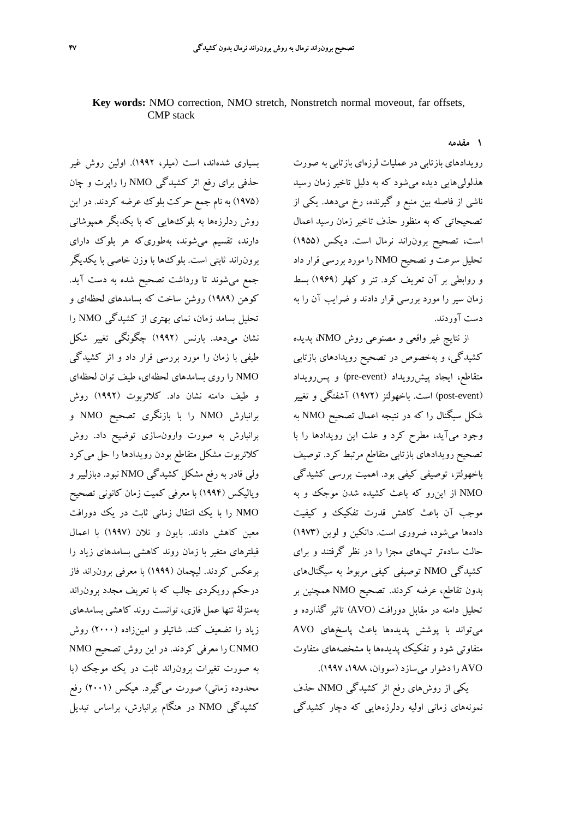## **Key words:** NMO correction, NMO stretch, Nonstretch normal moveout, far offsets, CMP stack

**1 مقدمه**

رويدادهاي بازتابي در عمليات لرزهاي بازتابي به صورت هذلوليهايي ديده ميشود كه به دليل تاخير زمان رسيد ناشي از فاصله بين منبع و گيرنده، رخ ميدهد. يكي از تصحيحاتي كه به منظور حذف تاخير زمان رسيد اعمال است، تصحيح برونراند نرمال است. ديكس (1955) تحليل سرعت و تصحيح NMO را مورد بررسي قرار داد و روابطي بر آن تعريف كرد. تنر و كهلر (1969) بسط زمان سير را مورد بررسي قرار دادند و ضرايب آن را به دست آوردند.

از نتايج غير واقعي و مصنوعي روش NMO، پديده كشيدگي، و بهخصوص در تصحيح رويدادهاي بازتابي متقاطع، ايجاد پيشررويداد (pre-event) و پس رويداد (event-post (است. باخهولتز (1972) آشفتگي و تغيير شكل سيگنال را كه در نتيجه اعمال تصحيح NMO به وجود ميآيد، مطرح كرد و علت اين رويدادها را با تصحيح رويدادهاي بازتابي متقاطع مرتبط كرد. توصيف باخهولتز، توصيفي كيفي بود. اهميت بررسي كشيدگي NMO از اينرو كه باعث كشيده شدن موجك و به موجب آن باعث كاهش قدرت تفكيك و كيفيت دادهها ميشود، ضروري است. دانكين و لوين (1973) حالت سادهتر تپهاي مجزا را در نظر گرفتند و براي كشيدگي NMO توصيفي كيفي مربوط به سيگنالهاي بدون تقاطع، عرضه كردند. تصحيح NMO همچنين بر تحليل دامنه در مقابل دورافت (AVO (تاثير گذارده و ميتواند با پوشش پديدهها باعث پاسخهاي AVO متفاوتي شود و تفكيك پديدهها با مشخصههاي متفاوت AVO را دشوار ميسازد (سووان، ،1988 1997).

يكي از روشهاي رفع اثر كشيدگي NMO، حذف نمونههاي زماني اوليه ردلرزههايي كه دچار كشيدگي

بسياري شدهاند، است (ميلر، 1992). اولين روش غير حذفي براي رفع اثر كشيدگي NMO را راپرت و چان (1975) به نام جمع حركت بلوك عرضه كردند. در اين روش ردلرزهها به بلوكهايي كه با يكديگر همپوشاني دارند، تقسيم ميشوند، بهطوريكه هر بلوك داراي برونراند ثابتي است. بلوكها با وزن خاصي با يكديگر جمع ميشوند تا ورداشت تصحيح شده به دست آيد. كوهن (1989) روشن ساخت كه بسامدهاي لحظهاي و تحليل بسامد زمان، نماي بهتري از كشيدگي NMO را نشان ميدهد. بارنس (1992) چگونگي تغيير شكل طيفي با زمان را مورد بررسي قرار داد و اثر كشيدگي NMO را روي بسامدهاي لحظهاي، طيف توان لحظهاي و طيف دامنه نشان داد. كلائربوت (1992) روش برانبارش NMO را با بازنگري تصحيح NMO و برانبارش به صورت وارونسازي توضيح داد. روش كلائربوت مشكل متقاطع بودن رويدادها را حل ميكرد ولي قادر به رفع مشكل كشيدگي NMO نبود. دبازليير و وياليكس (1994) با معرفي كميت زمان كانوني تصحيح NMO را با يك انتقال زماني ثابت در يك دورافت معين كاهش دادند. بايون و نلان (1997) با اعمال فيلترهاي متغير با زمان روند كاهشي بسامدهاي زياد را برعكس كردند. ليچمان (1999) با معرفي برونراند فاز درحكم رويكردي جالب كه با تعريف مجدد برونراند بهمنزلة تنها عمل فازي، توانست روند كاهشي بسامدهاي زياد را تضعيف كند. شاتيلو و امينزاده (2000) روش CNMO را معرفي كردند. در اين روش تصحيح NMO به صورت تغيرات برونراند ثابت در يك موجك (يا محدوده زماني) صورت ميگيرد. هيكس (2001) رفع كشيدگي NMO در هنگام برانبارش، براساس تبديل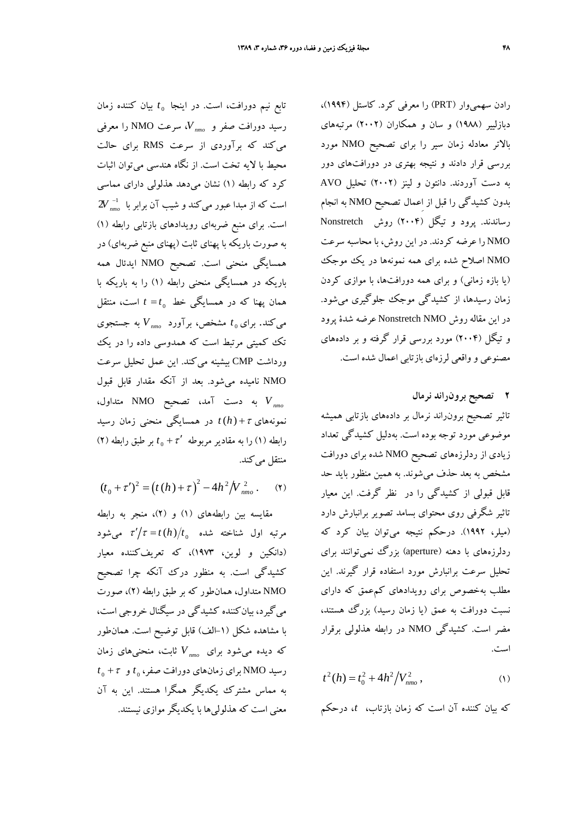*t* بيان كننده زمان <sup>0</sup> تابع نيم دورافت، است. در اينجا ، NMO را معرفي *nmo V* سرعت رسيد دورافت صفر و ميكند كه برآوردي از سرعت RMS براي حالت محيط با لايه تخت است. از نگاه هندسي ميتوان اثبات كرد كه رابطه (1) نشان ميدهد هذلولي داراي مماسي  $2V^{-1}_{\it nmo}$  است كه از مبدا عبور ميكند و شيب آن برابر با است. براي منبع ضربهاي رويدادهاي بازتابي رابطه (1) به صورت باريكه با پهناي ثابت (پهناي منبع ضربهاي) در همسايگي منحني است. تصحيح NMO ايدئال همه باريكه در همسايگي منحني رابطه (1) را به باريكه با = *t t* است، منتقل <sup>0</sup> همان پهنا كه در همسايگي خط به *nmo V* جستجوي *t* مشخص، برآورد <sup>0</sup> ميكند. براي تك كميتي مرتبط است كه همدوسي داده را در يك ورداشت CMP بيشينه ميكند. اين عمل تحليل سرعت NMO ناميده ميشود. بعد از آنكه مقدار قابل قبول به دست آمد، NMO متداول، *nmo V* تصحيح نمونههاي <sup>τ</sup>+( ) *h t* در همسايگي منحني زمان رسيد ′ <sup>τ</sup>+ *t* بر طبق رابطه (2) <sup>0</sup> رابطه (1) را به مقادير مربوطه منتقل مي كند.

$$
(t_0 + \tau')^2 = (t(h) + \tau)^2 - 4h^2/V_{nmo}^2.
$$
 (7)

مقايسه بين رابطههاي (1) و (2)، منجر به رابطه  $\tau'/\tau = t\left( h\right) /t_{0}$  مرتبه اول شناخته شده  $\tau'/\tau = t$  می (دانكين و لوين، 1973)، كه تعريفكننده معيار كشيدگي است. به منظور درك آنكه چرا تصحيح NMO متداول، همانطور كه بر طبق رابطه (2)، صورت ميگيرد، بيانكننده كشيدگي در سيگنال خروجي است، با مشاهده شكل (-1الف) قابل توضيح است. همانطور ثابت، هاي زمان *nmo V* منحني كه ديده ميشود براي  $t_{\,0}+\tau_{\,0}$  و NMO برای زمانهای دورافت صفر،  $t_{\,0}$  و به مماس مشترك يكديگر همگرا هستند. اين به آن معني است كه هذلوليها با يكديگر موازي نيستند. رادن سهميوار (PRT (را معرفي كرد. كاستل (1994)، دبازليير (1988) و سان و همكاران (2002) مرتبههاي بالاتر معادله زمان سير را براي تصحيح NMO مورد بررسي قرار دادند و نتيجه بهتري در دورافتهاي دور به دست آوردند. دانتون و لينز (2002) تحليل AVO بدون كشيدگي را قبل از اِعمال تصحيح NMO به انجام رساندند. پرود و تيگل (2004) روش Nonstretch NMO را عرضه كردند. در اين روش، با محاسبه سرعت NMO اصلاح شده براي همه نمونهها در يك موجك (يا بازه زماني) و براي همه دورافتها، با موازي كردن زمان رسيدها، از كشيدگي موجك جلوگيري ميشود. در اين مقاله روش NMO Nonstretch عرضه شدة پرود و تيگل (2004) مورد بررسي قرار گرفته و بر دادههاي مصنوعي و واقعي لرزهاي بازتابي اعمال شده است.

**2 تصحيح برونراند نرمال** تاثير تصحيح برونراند نرمال بر دادههاي بازتابي هميشه موضوعي مورد توجه بوده است. بهدليل كشيدگي تعداد زيادي از ردلرزههاي تصحيح NMO شده براي دورافت مشخص به بعد حذف ميشوند. به همين منظور بايد حد قابل قبولي از كشيدگي را در نظر گرفت. اين معيار تاثير شگرفي روي محتواي بسامد تصوير برانبارش دارد (ميلر، 1992). درحكم نتيجه ميتوان بيان كرد كه ردلرزههاي با دهنه (aperture) بزرگ نمي توانند براي تحليل سرعت برانبارش مورد استفاده قرار گيرند. اين مطلب بهخصوص براي رويدادهاي كمعمق كه داراي نسبت دورافت به عمق (يا زمان رسيد) بزرگ هستند، مضر است. كشيدگي NMO در رابطه هذلولي برقرار است.

$$
t^2(h) = t_0^2 + 4h^2/V_{nmo}^2\,,\tag{1}
$$

كه بيان كننده آن است كه زمان بازتاب، *t*، درحكم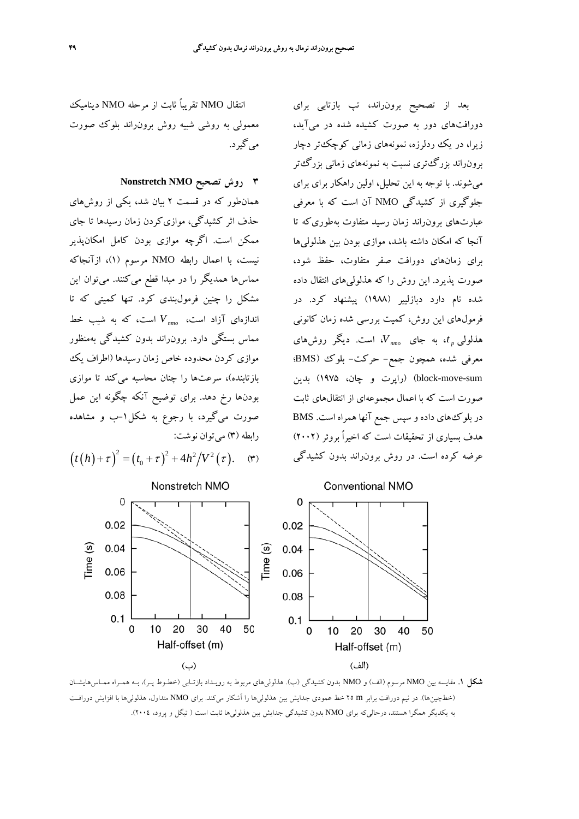بعد از تصحيح برونراند، تپ بازتابي براي

دورافتهاي دور به صورت كشيده شده در ميآيد، زيرا، در يك ردلرزه، نمونههاي زماني كوچكتر دچار

برونراند بزرگتري نسبت به نمونههاي زماني بزرگتر ميشوند. با توجه به اين تحليل، اولين راهكار براي براي جلوگيري از كشيدگي NMO آن است كه با معرفي

عبارتهاي برونراند زمان رسيد متفاوت بهطوريكه تا آنجا كه امكان داشته باشد، موازي بودن بين هذلوليها براي زمانهاي دورافت صفر متفاوت، حفظ شود،

صورت پذيرد. اين روش را كه هذلوليهاي انتقال داده

شده نام دارد دبازليير (1988) پيشنهاد كرد. در فرمولهاي اين روش، كميت بررسي شده زمان كانوني ، است. ديگر روشهاي *nmo V t*، به جاي *<sup>p</sup>* هذلولي

معرفي شده، همچون جمع- حركت- بلوك (BMS؛

sum-move-block) (راپرت و چان، 1975) بدين

صورت است كه با اعمال مجموعهاي از انتقالهاي ثابت در بلوكهاي داده و سپس جمع آنها همراه است. BMS هدف بسياري از تحقيقات است كه اخيراً بروئر (2002) عرضه كرده است. در روش برونراند بدون كشيدگي

انتقال NMO تقريباً ثابت از مرحله NMO ديناميك معمولي به روشي شبيه روش برونراند بلوك صورت ميگيرد.

**3 روش تصحيح NMO Nonstretch**

همانطور كه در قسمت 2 بيان شد، يكي از روشهاي حذف اثر كشيدگي، موازيكردن زمان رسيدها تا جاي ممكن است. اگرچه موازي بودن كامل امكانپذير نيست، با اعمال رابطه NMO مرسوم (1)، ازآنجاكه مماسها همديگر را در مبدا قطع ميكنند. ميتوان اين مشكل را چنين فرمولبندي كرد. تنها كميتي كه تا است، كه به *nmo V* شيب خط اندازهاي آزاد است، مماس بستگي دارد. برونراند بدون كشيدگي بهمنظور موازي كردن محدوده خاص زمان رسيدها (اطراف يك بازتابنده)، سرعتها را چنان محاسبه ميكند تا موازي بودنها رخ دهد. براي توضيح آنكه چگونه اين عمل صورت ميگيرد، با رجوع به شكل-1ب و مشاهده رابطه (٣) مي توان نوشت:

 $(t(h)+\tau)^2 = (t_0+\tau)^2 + 4h^2/V^2(\tau).$  (۳)



**شكل .1** مقايسه بين NMO مرسوم (الف) و NMO بدون كشيدگي (ب). هذلوليهاي مربوط به رويـداد بازتـابي (خطـوط پـر)، بـه همـراه ممـاسهايشـان (خطچينها). در نيم دورافت برابر m 25 خط عمودي جدايش بين هذلوليها را آشكار ميكند. براي NMO متداول، هذلوليها با افزايش دورافـت به يكديگر همگرا هستند، درحاليكه براي NMO بدون كشيدگي جدايش بين هذلوليها ثابت است ( تيگل و پرود، 2004).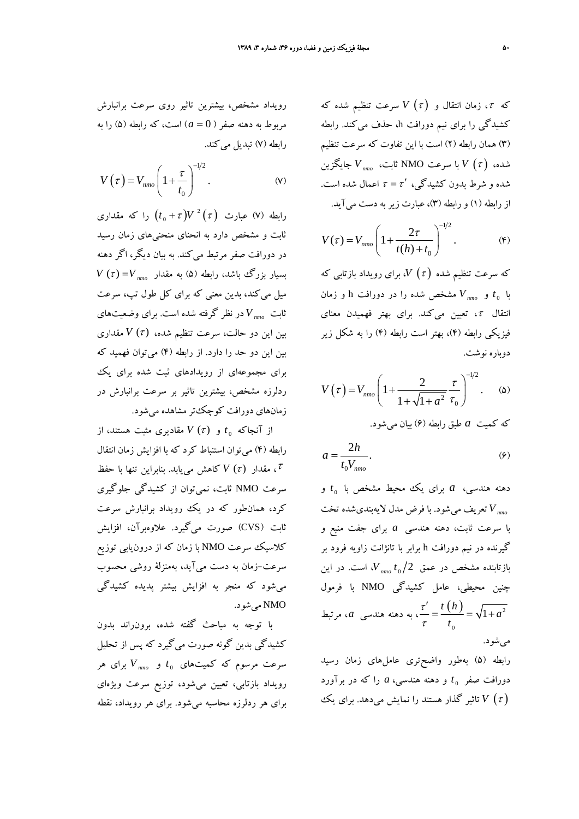که  $\tau$ ، زمان انتقال و  $V\left( \tau\right)$  سرعت تنظيم شده كه كشيدگي را براي نيم دورافت h، حذف ميكند. رابطه (3) همان رابطه (2) است با اين تفاوت كه سرعت تنظيم شده،  $V$  با سرعت NMO ثابت،  $V_{\text{min}}$  جايگزين شده و شرط بدون كشيدگي،  $\tau = \tau'$  اعمال شده است. از رابطه (1) و رابطه (3)، عبارت زيربه دست ميآيد.

$$
V(\tau) = V_{nmo} \left( 1 + \frac{2\tau}{t(h) + t_0} \right)^{-1/2}.
$$
 (5)

كه سرعت تنظيم شده <sup>τ</sup> ( ) *V*، براي رويداد بازتابي كه مشخص شده را در h و زمان *Vnmo* دورافت *t* و <sup>0</sup> با انتقال <sup>τ</sup>، تعيين ميكند. براي بهتر فهميدن معناي فيزيكي رابطه (4)، بهتر است رابطه (4) را به شكل زير دوباره نوشت.

$$
V(\tau) = V_{nmo} \left( 1 + \frac{2}{1 + \sqrt{1 + a^2}} \frac{\tau}{\tau_0} \right)^{-1/2} .
$$
 (2)

$$
a = \frac{2h}{t_0 V_{nmo}}.\tag{9}
$$

*t* و <sup>0</sup> دهنه هندسي، *a* براي يك محيط مشخص با شود. با فرض مدل لايهبنديشده تخت *Vnmo* تعريف مي با سرعت ثابت، دهنه هندسي *a* براي جفت منبع و گيرنده در نيم دورافت h برابر با تانژانت زاويه فرود بر ، است. در اين *nmo t V* 2 <sup>0</sup> بازتابنده مشخص در عمق چنين محيطي، عامل كشيدگي NMO با فرمول  $(h)$   $\frac{1}{2}$  $\mathbf 0$  $\frac{t}{-} = \frac{t(h)}{h} = \sqrt{1+h^2}$ *t h a t* τ τ ، به دهنه هندسي *a*، مرتبط ميشود. رابطه (5) بهطور واضحتري عاملهاي زمان رسيد *t* و دهنه هندسي، *a* را كه در برآورد <sup>0</sup> دورافت صفر

( <sup>τ</sup> (*V* تاثير گذار هستند را نمايش ميدهد. براي يك

رويداد مشخص، بيشترين تاثير روي سرعت برانبارش مربوط به دهنه صفر ( 0 = *a* (است، كه رابطه (5) را به رابطه (7) تبديل ميكند.

$$
V(\tau) = V_{nmo} \left( 1 + \frac{\tau}{t_0} \right)^{-1/2} .
$$
 (v)

رابطه (۷) عبارت  $V$   $\left( t_{0}+\tau \right)$  را که مقداری ثابت و مشخص دارد به انحناي منحنيهاي زمان رسيد در دورافت صفر مرتبط ميكند. به بيان ديگر، اگر دهنه  $V\left( \tau \right) =$ بسیار بزرگ باشد، رابطه (۵) به مقدار  $V\left( \tau \right)$ ميل ميكند، بدين معني كه براي كل طول تپ، سرعت در نظر گرفته شده . براي وضعيتهاي *nmo V* است ثابت بين اين دو حالت، سرعت تنظيم شده، <sup>τ</sup> ( ) *V* مقداري بين اين دو حد را دارد. از رابطه (4) ميتوان فهميد كه براي مجموعهاي از رويدادهاي ثبت شده براي يك ردلرزه مشخص، بيشترين تاثير بر سرعت برانبارش در زمانهاي دورافت كوچكتر مشاهده ميشود.

از آنجاكه  $t_0$  و  $V(\tau)$  مقاديري مثبت هستند، از رابطه (4) ميتوان استنباط كرد كه با افزايش زمان انتقال ، مقدار <sup>τ</sup> ( ) *V* كاهش مييابد. بنابراين تنها با حفظ <sup>τ</sup> سرعت NMO ثابت، نميتوان از كشيدگي جلوگيري كرد، همانطور كه در يك رويداد برانبارش سرعت ثابت (CVS (صورت ميگيرد. علاوهبرآن، افزايش كلاسيك سرعت NMO با زمان كه از درونيابي توزيع سرعت-زمان به دست ميآيد، بهمنزلة روشي محسوب ميشود كه منجر به افزايش بيشتر پديده كشيدگي NMO ميشود.

با توجه به مباحث گفته شده، برونراند بدون كشيدگي بدين گونه صورت ميگيرد كه پس از تحليل براي هر *nmo V t* و <sup>0</sup> سرعت مرسوم كه كميتهاي رويداد بازتابي، تعيين ميشود، توزيع سرعت ويژهاي براي هر ردلرزه محاسبه ميشود. براي هر رويداد، نقطه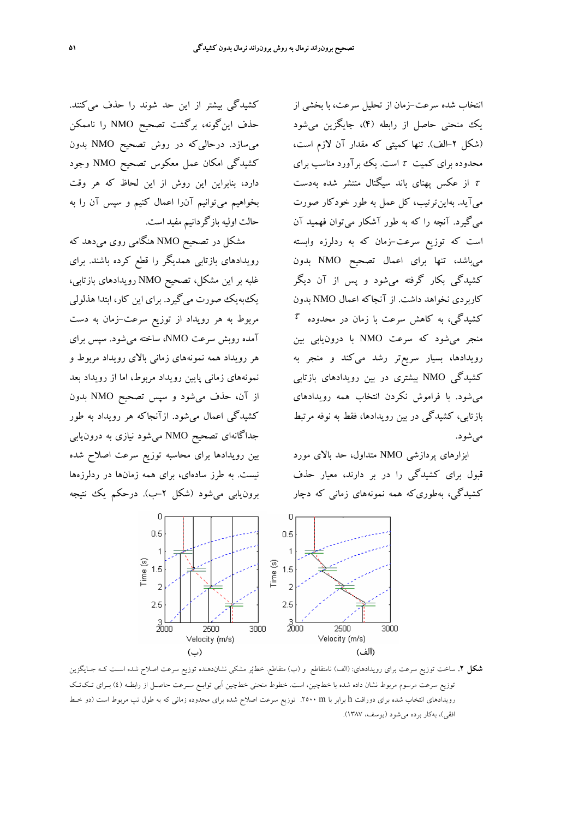انتخاب شده سرعت-زمان از تحليل سرعت، با بخشي از يك منحني حاصل از رابطه (4)، جايگزين ميشود (شكل -2الف). تنها كميتي كه مقدار آن لازم است، محدوده براي كميت  $\tau$  است. يك برآورد مناسب براي از عكس پهناي باند سيگنال منتشر شده بهدست  $\tau$ ميآيد. بهاينترتيب، كل عمل به طور خودكار صورت ميگيرد. آنچه را كه به طور آشكار ميتوان فهميد آن است كه توزيع سرعت-زمان كه به ردلرزه وابسته ميباشد، تنها براي اعمال تصحيح NMO بدون كشيدگي بكار گرفته ميشود و پس از آن ديگر كاربردي نخواهد داشت. از آنجاكه اعمال NMO بدون  $\tau$  كشيدگى، به كاهش سرعت با زمان در محدوده منجر ميشود كه سرعت NMO با درونيابي بين رويدادها، بسيار سريعتر رشد ميكند و منجر به كشيدگي NMO بيشتري در بين رويدادهاي بازتابي ميشود. با فراموش نكردن انتخاب همه رويدادهاي بازتابي، كشيدگي در بين رويدادها، فقط به نوفه مرتبط مي شو د.

ابزارهاي پردازشي NMO متداول، حد بالاي مورد قبول براي كشيدگي را در بر دارند، معيار حذف كشيدگي، بهطوريكه همه نمونههاي زماني كه دچار

كشيدگي بيشتر از اين حد شوند را حذف ميكنند. حذف اينگونه، برگشت تصحيح NMO را ناممكن ميسازد. درحاليكه در روش تصحيح NMO بدون كشيدگي امكان عمل معكوس تصحيح NMO وجود دارد، بنابراين اين روش از اين لحاظ كه هر وقت بخواهيم ميتوانيم آنرا اعمال كنيم و سپس آن را به حالت اوليه بازگردانيم مفيد است.

مشكل در تصحيح NMO هنگامي روي ميدهد كه رويدادهاي بازتابي همديگر را قطع كرده باشند. براي غلبه بر اين مشكل، تصحيح NMO رويدادهاي بازتابي، يكبهيك صورت ميگيرد. براي اين كار، ابتدا هذلولي مربوط به هر رويداد از توزيع سرعت-زمان به دست آمده روبش سرعت NMO، ساخته ميشود. سپس براي هر رويداد همه نمونههاي زماني بالاي رويداد مربوط و نمونههاي زماني پايين رويداد مربوط، اما از رويداد بعد از آن، حذف ميشود و سپس تصحيح NMO بدون كشيدگي اعمال ميشود. ازآنجاكه هر رويداد به طور جداگانهاي تصحيح NMO ميشود نيازي به درونيابي بين رويدادها براي محاسبه توزيع سرعت اصلاح شده نيست. به طرز سادهاي، براي همه زمانها در ردلرزهها برون يابي مي شود (شكل ٢–ب). درحكم يك نتيجه



**شكل .2** ساخت توزيع سرعت براي رويدادهاي: (الف) نامتقاطع و (ب) متقاطع. خطپر مشكي نشاندهنده توزيع سرعت اصلاح شده اسـت كـه جـايگزين توزيع سرعت مرسوم مربوط نشان داده شده با خطچين، است. خطوط منحني خطچين آبي توابـع سـرعت حاصـل از رابطـه (4) بـراي تـكتـك رويدادهاي انتخاب شده براي دورافت h برابر با m .2500 توزيع سرعت اصلاح شده براي محدوده زماني كه به طول تپ مربوط است (دو خـط افقي)، بهكار برده ميشود (يوسف، 1387).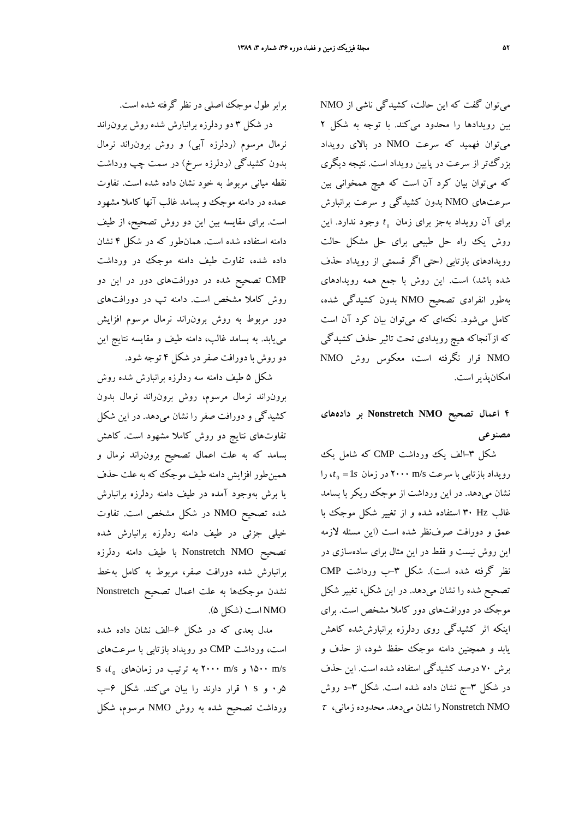ميتوان گفت كه اين حالت، كشيدگي ناشي از NMO بين رويدادها را محدود ميكند. با توجه به شكل 2 ميتوان فهميد كه سرعت NMO در بالاي رويداد بزرگتر از سرعت در پايين رويداد است. نتيجه ديگري كه ميتوان بيان كرد آن است كه هيچ همخواني بين سرعتهاي NMO بدون كشيدگي و سرعت برانبارش براي آن رويداد بهجز براي زمان *1<sub>0</sub> وجود ندارد. اين* روش يك راه حل طبيعي براي حل مشكل حالت رويدادهاي بازتابي (حتي اگر قسمتي از رويداد حذف شده باشد) است. اين روش با جمع همه رويدادهاي بهطور انفرادي تصحيح NMO بدون كشيدگي شده، كامل ميشود. نكتهاي كه ميتوان بيان كرد آن است كه ازآنجاكه هيچ رويدادي تحت تاثير حذف كشيدگي NMO قرار نگرفته است، معكوس روش NMO امكانپذيراست.

**4 اعمال تصحيح NMO Nonstretch بر دادههاي مصنوعي**

شكل ٣-الف يك ورداشت CMP كه شامل يك  $t_0 = 1s$  رويداد بازتابي با سرعت ٢٠٠٠ m/s در زمان د نشان ميدهد. در اين ورداشت از موجك ريكر با بسامد غالب Hz 30 استفاده شده و از تغيير شكل موجك با عمق و دورافت صرفنظر شده است (اين مسئله لازمه اين روش نيست و فقط در اين مثال براي سادهسازي در نظر گرفته شده است). شكل ۳–ب ورداشت CMP تصحيح شده را نشان ميدهد. در اين شكل، تغيير شكل موجك در دورافتهاي دور كاملا مشخص است. براي اينكه اثر كشيدگي روي ردلرزه برانبارششده كاهش يابد و همچنين دامنه موجك حفظ شود، از حذف و برش 70 درصد كشيدگي استفاده شده است. اين حذف در شكل ۳–ج نشان داده شده است. شكل ۳–د روش  $\tau$  را نشان مي دهد. محدوده زماني،  $\tau$  Nonstretch NMO

برابر طول موجك اصلي در نظر گرفته شده است. در شكل 3 دو ردلرزه برانبارش شده روش برونراند نرمال مرسوم (ردلرزه آبي) و روش برونراند نرمال بدون كشيدگي (ردلرزه سرخ) در سمت چپ ورداشت نقطه مياني مربوط به خود نشان داده شده است. تفاوت عمده در دامنه موجك و بسامد غالب آنها كاملا مشهود است. براي مقايسه بين اين دو روش تصحيح، از طيف دامنه استفاده شده است. همانطور كه در شكل 4 نشان داده شده، تفاوت طيف دامنه موجك در ورداشت CMP تصحيح شده در دورافتهاي دور در اين دو روش كاملا مشخص است. دامنه تپ در دورافتهاي دور مربوط به روش برونراند نرمال مرسوم افزايش مييابد. به بسامد غالب، دامنه طيف و مقايسه نتايج اين دو روش با دورافت صفردر شكل 4 توجه شود.

شكل 5 طيف دامنه سه ردلرزه برانبارش شده روش برونراند نرمال مرسوم، روش برونراند نرمال بدون كشيدگي و دورافت صفر را نشان ميدهد. در اين شكل تفاوتهاي نتايج دو روش كاملا مشهود است. كاهش بسامد كه به علت اعمال تصحيح برونراند نرمال و همينطور افزايش دامنه طيف موجك كه به علت حذف يا برش بهوجود آمده در طيف دامنه ردلرزه برانبارش شده تصحيح NMO در شكل مشخص است. تفاوت خيلي جزئي در طيف دامنه ردلرزه برانبارش شده تصحيح NMO Nonstretch با طيف دامنه ردلرزه برانبارش شده دورافت صفر، مربوط به كامل بهخط نشدن موجكها به علت اعمال تصحيح Nonstretch NMO است (شكل 5).

مدل بعدي كه در شكل -6الف نشان داده شده است، ورداشت CMP دو رويداد بازتابي با سرعتهاي زمانهاي در ترتيب به 2000 m/s و 1500 m/s <sup>0</sup> s ،*t* 5ر0 و s 1 قرار دارند را بيان ميكند. شكل -6ب ورداشت تصحيح شده به روش NMO مرسوم، شكل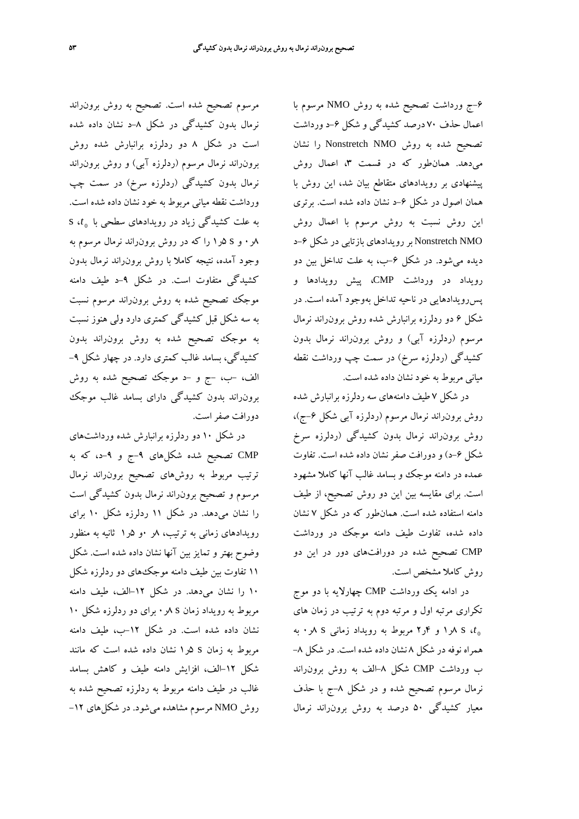-6ج ورداشت تصحيح شده به روش NMO مرسوم با اعمال حذف 70 درصد كشيدگي و شكل -6د ورداشت تصحيح شده به روش NMO Nonstretch را نشان ميدهد. همانطور كه در قسمت ۳، اعمال روش پيشنهادي بر رويدادهاي متقاطع بيان شد، اين روش با همان اصول در شكل ۶–د نشان داده شده است. برتری اين روش نسبت به روش مرسوم با اعمال روش NMO Nonstretch بر رويدادهاي بازتابي در شكل -6د ديده مي شود. در شكل ۶–ب، به علت تداخل بين دو رويداد در ورداشت CMP، پيش رويدادها و پسرويدادهايي در ناحيه تداخل بهوجود آمده است. در شكل 6 دو ردلرزه برانبارش شده روش برونراند نرمال مرسوم (ردلرزه آبي) و روش برونراند نرمال بدون كشيدگي (ردلرزه سرخ) در سمت چپ ورداشت نقطه مياني مربوط به خود نشان داده شده است.

در شكل 7 طيف دامنههاي سه ردلرزه برانبارش شده روش برون راند نرمال مرسوم (ردلرزه آبی شكل ۶–ج)، روش برونراند نرمال بدون كشيدگي (ردلرزه سرخ شكل -6د) و دورافت صفر نشان داده شده است. تفاوت عمده در دامنه موجك و بسامد غالب آنها كاملا مشهود است. براي مقايسه بين اين دو روش تصحيح، از طيف دامنه استفاده شده است. همانطور كه در شكل 7 نشان داده شده، تفاوت طيف دامنه موجك در ورداشت CMP تصحيح شده در دورافتهاي دور در اين دو روش كاملا مشخص است.

در ادامه يك ورداشت CMP چهارلايه با دو موج تكراري مرتبه اول و مرتبه دوم به ترتيب در زمان هاي ر 1 و ۴ر۲ مربوط به رويداد زماني s  $\lambda$  s  $t_0$ همراه نوفه در شكل 8 نشان داده شده است. در شكل -8 ب ورداشت CMP شكل ٨⊣لف به روش برونراند نرمال مرسوم تصحيح شده و در شكل -8ج با حذف معيار كشيدگي 50 درصد به روش برونراند نرمال

مرسوم تصحيح شده است. تصحيح به روش برونراند نرمال بدون كشيدگي در شكل ۸–د نشان داده شده است در شكل 8 دو ردلرزه برانبارش شده روش برونراند نرمال مرسوم (ردلرزه آبي) و روش برونراند نرمال بدون كشيدگي (ردلرزه سرخ) در سمت چپ ورداشت نقطه مياني مربوط به خود نشان داده شده است. *t*، s <sup>0</sup> به علت كشيدگي زياد در رويدادهاي سطحي با 8ر0 و s 5ر1 را كه در روش برونراند نرمال مرسوم به وجود آمده، نتيجه كاملا با روش برونراند نرمال بدون كشيدگي متفاوت است. در شكل -9د طيف دامنه موجك تصحيح شده به روش برونراند مرسوم نسبت به سه شكل قبل كشيدگي كمتري دارد ولي هنوز نسبت به موجك تصحيح شده به روش برونراند بدون كشيدگي، بسامد غالب كمتري دارد. در چهار شكل -9 الف، -ب، -ج و -د موجك تصحيح شده به روش برونراند بدون كشيدگي داراي بسامد غالب موجك دورافت صفراست.

در شكل 10 دو ردلرزه برانبارش شده ورداشتهاي CMP تصحيح شده شكلهاي -9ج و -9د، كه به ترتيب مربوط به روشهاي تصحيح برونراند نرمال مرسوم و تصحيح برونراند نرمال بدون كشيدگي است را نشان ميدهد. در شكل 11 ردلرزه شكل 10 براي رويدادهاي زماني به ترتيب، 8ر 0و 5ر1 ثانيه به منظور وضوح بهتر و تمايز بين آنها نشان داده شده است. شكل 11 تفاوت بين طيف دامنه موجكهاي دو ردلرزه شكل 10 را نشان ميدهد. در شكل -12الف، طيف دامنه مربوط به رويداد زمان s 8ر0 براي دو ردلرزه شكل 10 نشان داده شده است. در شكل -12ب، طيف دامنه مربوط به زمان s 5ر1 نشان داده شده است كه مانند شكل -12الف، افزايش دامنه طيف و كاهش بسامد غالب در طيف دامنه مربوط به ردلرزه تصحيح شده به روش NMO مرسوم مشاهده ميشود. در شكلهاي -12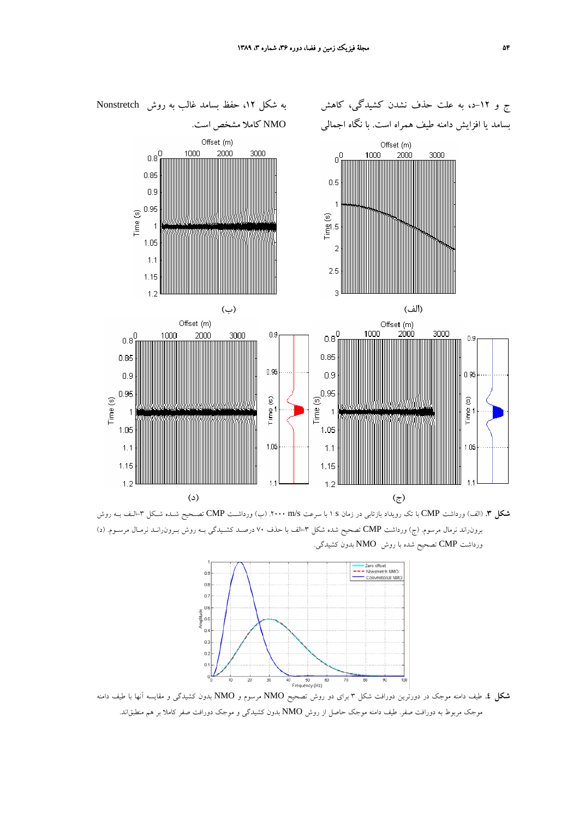

**شكل .3** (الف) ورداشت CMP با تك رويداد بازتابي در زمان s 1 با سرعت s/m .2000) ب) ورداشـت CMP تصـحيح شـده شـكل -3الـف بـه روش برونراند نرمال مرسوم. (ج) ورداشت CMP تصحيح شده شكل -3الف با حذف 70 درصـد كشـيدگي بـه روش بـرونرانـد نرمـال مرسـوم. (د) ورداشت CMP تصحيح شده با روش NMO بدون كشيدگي.



**شكل .4** طيف دامنه موجك در دورترين دورافت شكل 3 براي دو روش تصحيح NMO مرسوم و NMO بدون كشيدگي و مقايسه آنها با طيف دامنه موجك مربوط به دورافت صفر. طيف دامنه موجك حاصل از روش NMO بدون كشيدگي و موجك دورافت صفر كاملا بر هم منطبقاند.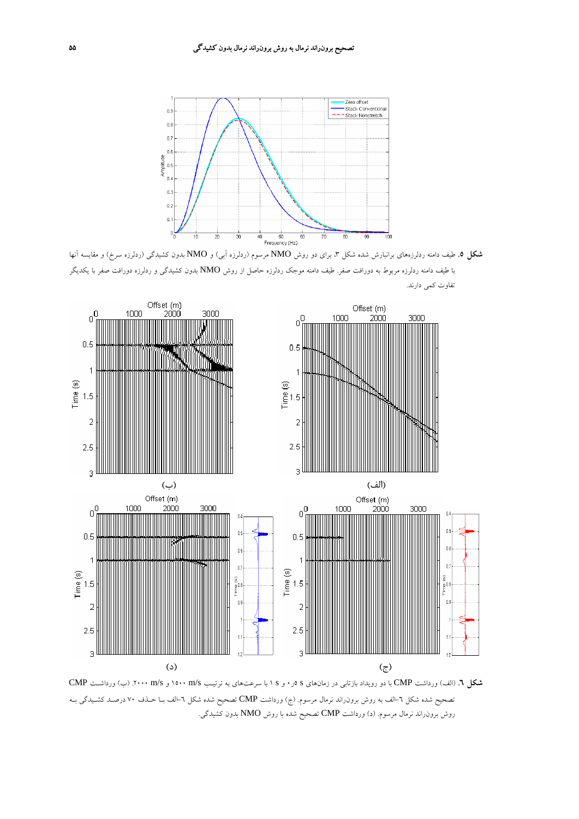

**شكل .5** طيف دامنه ردلرزههاي برانبارش شده شكل ،3 براي دو روش NMO مرسوم (ردلرزه آبي) و NMO بدون كشيدگي (ردلرزه سرخ) و مقايسه آنها با طيف دامنه ردلرزه مربوط به دورافت صفر. طيف دامنه موجك ردلرزه حاصل از روش NMO بدون كشيدگي و ردلرزه دورافت صفر با يكديگر تفاوت كمي دارند.



**شكل .6** (الف) ورداشت CMP با دو رويداد بازتابي در زمانهاي s 5ر0 و s 1 با سرعتهاي به ترتيـب s/m 1500 و s/m .2000) ب) ورداشـت CMP تصحيح شده شكل ٦-الف به روش برون(اند نرمال مرسوم. (ج) ورداشت CMP تصحيح شده شكل ٦-الف بـا حـذف ٧٠ درصـد كشـيدگي بـه روش برونراند نرمال مرسوم. (د) ورداشت CMP تصحيح شده با روش NMO بدون كشيدگي.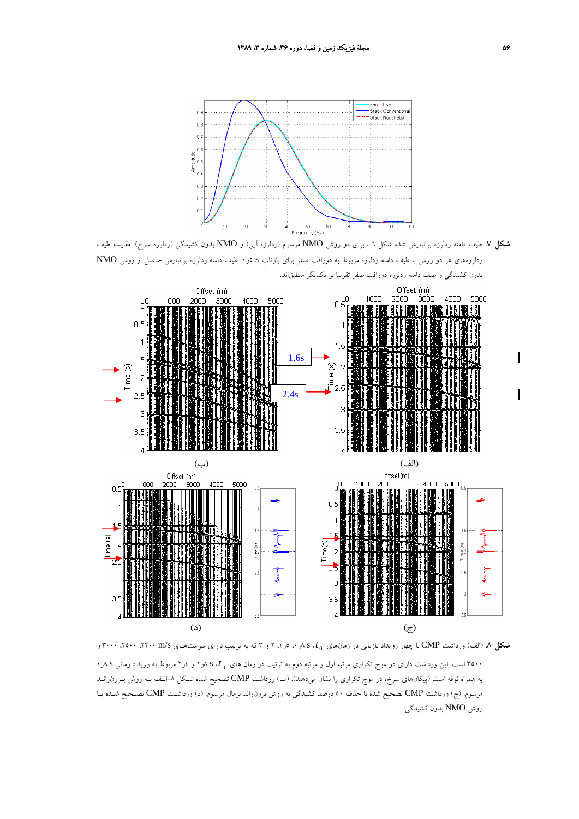

**شكل .7** طيف دامنه ردلرزه برانبارش شده شكل 6 ، براي دو روش NMO مرسوم (ردلرزه آبي) و NMO بدون كشيدگي (ردلرزه سرخ). مقايسه طيف ردلرزههاي هر دو روش با طيف دامنه ردلرزه مربوط به دورافت صفر براي بازتاب s 5ر.0 طيف دامنه ردلرزه برانبارش حاصل از روش NMO بدون كشيدگي و طيف دامنه ردلرزه دورافت صفر تقريبا بر يكديگر منطبقاند.



*t*، <sup>s</sup> <sup>8</sup>ر،<sup>0</sup> <sup>5</sup>ر،<sup>1</sup> <sup>2</sup> <sup>و</sup> <sup>3</sup> كه به ترتيب داراي سرعتهـاي s/m ،<sup>2200</sup> ،<sup>2500</sup> <sup>3000</sup> <sup>و</sup> <sup>0</sup> **شكل .8** (الف) ورداشت CMP با چهار رويداد بازتابي در زمانهاي *t*، <sup>s</sup> <sup>8</sup>ر<sup>1</sup> <sup>و</sup> <sup>4</sup>ر<sup>2</sup> مربوط به رويداد زماني <sup>s</sup> <sup>8</sup>ر<sup>0</sup> <sup>0</sup> <sup>3500</sup> است. اين ورداشت داراي دو موج تكراري مرتبه اول <sup>و</sup> مرتبه دوم به ترتيب در زمان هاي به همراه نوفه است (پيكانهاي سرخ، دو موج تكراري را نشان ميدهند). (ب) ورداشت CMP تصحيح شده شـكل -8الـف بـه روش بـرونرانـد مرسوم. (ج) ورداشت CMP تصحيح شده با حذف 50 درصد كشيدگي به روش برونراند نرمال مرسوم. (د) ورداشـت CMP تصـحيح شـده بـا روش NMO بدون كشيدگي.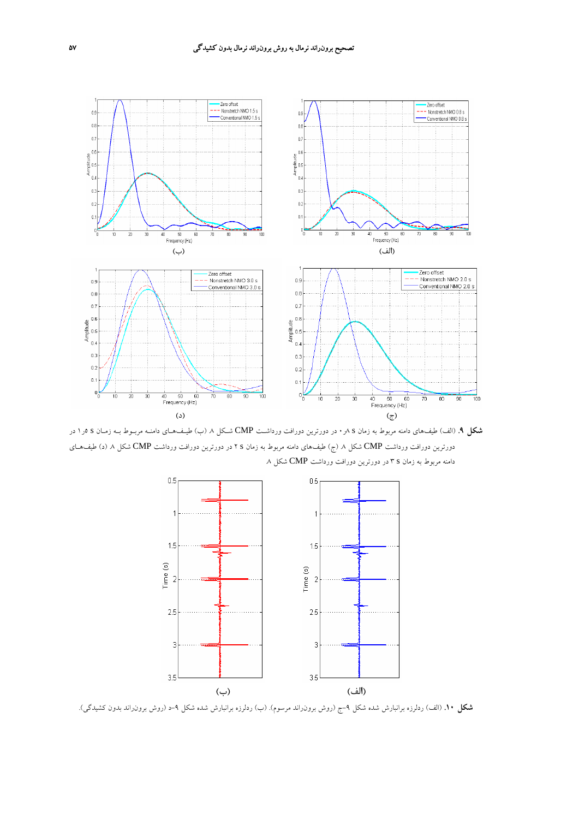

**شكل .9** (الف) طيفهاي دامنه مربوط به زمان s 8ر0 در دورترين دورافت ورداشـت CMP شـكل .8 (ب) طيـفهـاي دامنـه مربـوط بـه زمـان s 5ر1 در دورترين دورافت ورداشت CMP شكل ٨ (ج) طيفهاي دامنه مربوط به زمان s ٢ در دورترين دورافت ورداشت CMP شكل ٨ (د) طيفهـاي دامنه مربوط به زمان s 3 در دورترين دورافت ورداشت CMP شكل .8



**شكل .10** (الف) ردلرزه برانبارش شده شكل -9ج (روش برونراند مرسوم). (ب) ردلرزه برانبارش شده شكل -9د (روش برونراند بدون كشيدگي).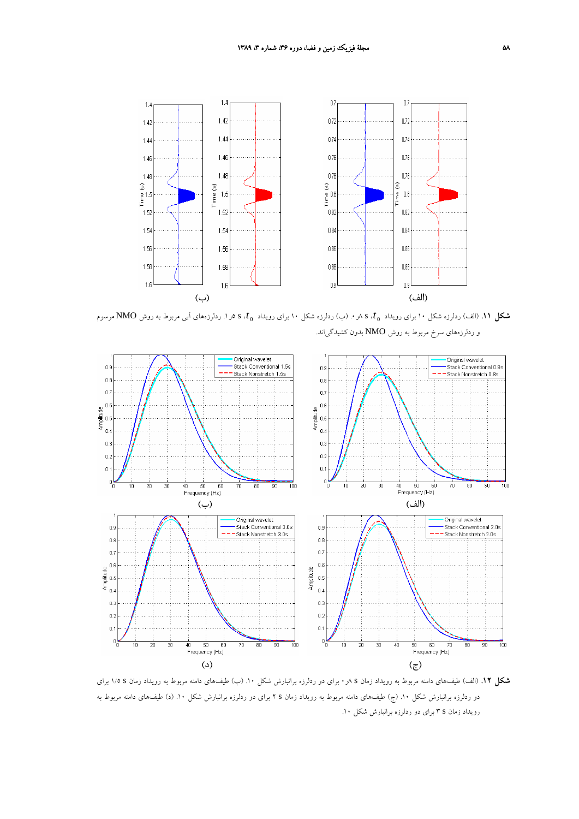

*t*، <sup>s</sup> <sup>5</sup>ر.1 ردلرزههاي آبي مربوط به روش NMO مرسوم <sup>0</sup> *t*، <sup>s</sup> <sup>8</sup>ر.0 (ب) ردلرزه شكل <sup>10</sup> براي رويداد <sup>0</sup> **شكل .11** (الف) ردلرزه شكل <sup>10</sup> براي رويداد و ردلرزههاي سرخ مربوط به روش NMO بدون كشيدگياند.



**شكل .12** (الف) طيفهاي دامنه مربوط به رويداد زمان s 8ر0 براي دو ردلرزه برانبارش شكل .10 (ب) طيفهاي دامنه مربوط به رويداد زمان s 1/5 براي دو ردلرزه برانبارش شكل .10 (ج) طيفهاي دامنه مربوط به رويداد زمان s 2 براي دو ردلرزه برانبارش شكل .10 (د) طيفهاي دامنه مربوط به رويداد زمان s 3 براي دو ردلرزه برانبارش شكل .10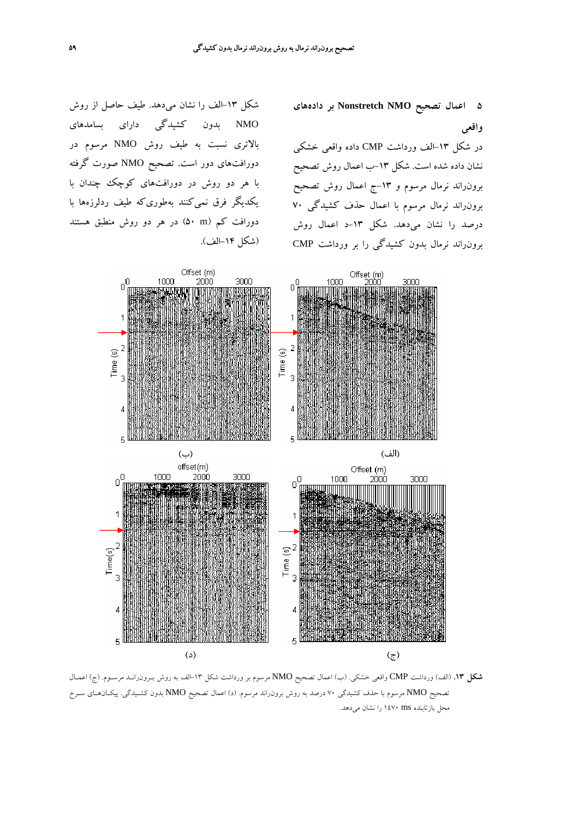**5 اعمال تصحيح NMO Nonstretch بر دادههاي واقعي**

در شكل -13الف ورداشت CMP داده واقعي خشكي نشان داده شده است. شكل -13ب اعمال روش تصحيح برونراند نرمال مرسوم و -13ج اعمال روش تصحيح برونراند نرمال مرسوم با اعمال حذف كشيدگي 70 درصد را نشان ميدهد. شكل -13د اعمال روش برونراند نرمال بدون كشيدگي را بر ورداشت CMP

شكل -13الف را نشان ميدهد. طيف حاصل از روش NMO بدون كشيدگي داراي بسامدهاي بالاتري نسبت به طيف روش NMO مرسوم در دورافتهاي دور است. تصحيح NMO صورت گرفته با هر دو روش در دورافتهاي كوچك چندان با يكديگر فرق نميكنند بهطوريكه طيف ردلرزهها با دورافت كم (m 50 (در هر دو روش منطبق هستند (شكل -14الف).



**شكل .13** (الف) ورداشت CMP واقعي خشكي. (ب) اعمال تصحيح NMO مرسوم بر ورداشت شكل -13الف به روش بـرونرانـد مرسـوم. (ج) اعمـال تصحيح NMO مرسوم با حذف كشيدگي 70 درصد به روش برونراند مرسوم. (د) اعمال تصحيح NMO بدون كشـيدگي. پيكـانهـاي سـرخ محل بازتابنده ms 1470 را نشان ميدهد.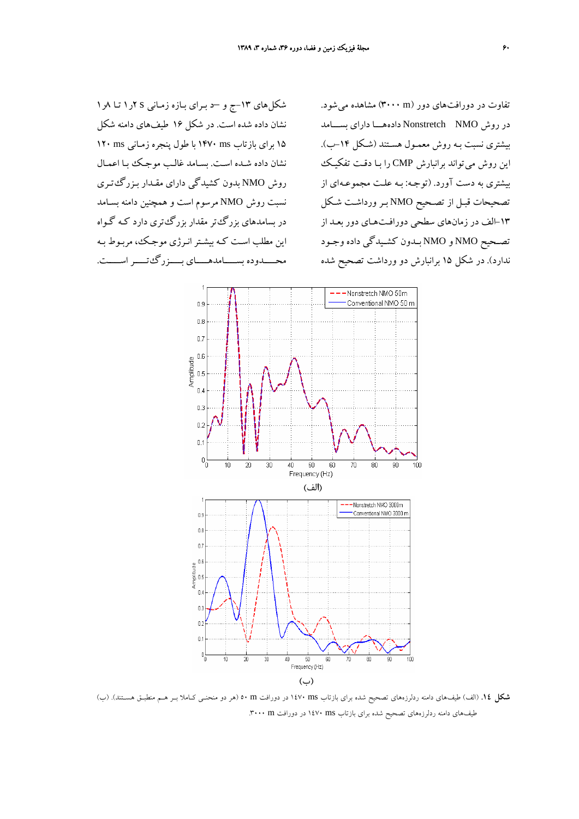شكلهاي -13ج و –د بـراي بـازه زمـاني s 2ر1 تـا 8ر1 نشان داده شده است. در شكل 16 طيفهاي دامنه شكل 15 براي بازتاب ms 1470 با طول پنجره زمـاني ms 120 نشان داده شـده اسـت . بسـامد غالـب موجـك بـا اعمـال روش NMO بدون كشيدگي داراي مقـدار بـزرگ تـري نسبت روش NMO مرسوم است و همچنين دامنه بسـامد در بسامدهاي بزرگتر مقدار بزرگتري دارد كـه گـواه اين مطلب اسـت كـه بيشـترانـرژي موجـك، مربـوط بـه محـــــدوده بســـــامدهـــــاي بـــــزرگتـــــر اســـــت.

تفاوت در دورافتهاي دور (m 3000 (مشاهده ميشود. در روش NMO Nonstretch دادههـــا داراي بســـامد بيشتري نسبت بـه روش معمـول هسـتند (شـكل -14ب). اين روش ميتواند برانبارش CMP را بـا دقـت تفكيـك بيشتري به دست آورد. (توجـه: بـه علـت مجموعـه اي از تصحيحات قبـل از تصـحيح NMO بـر ورداشـت شـكل -13الف در زمانهاي سطحي دورافـتهـاي دور بعـد از تصـحيح NMO و NMO بـدون كشـيدگي داده وجـود ندارد). در شكل 15 برانبارش دو ورداشت تصحيح شده



**شكل .14** (الف) طيفهاي دامنه ردلرزههاي تصحيح شده براي بازتاب ms 1470 در دورافت m 50) هر دو منحنـي كـاملا بـر هـم منطبـق هسـتند). (ب) طيفهاي دامنه ردلرزههاي تصحيح شده براي بازتاب ms 1470 در دورافت m .3000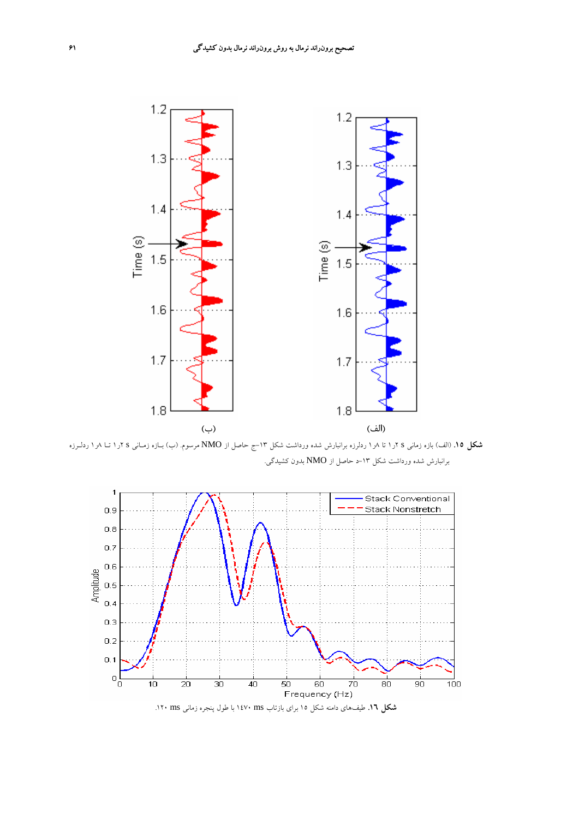

**شكل .15** (الف) بازه زماني s 2ر1 تا 8ر1 ردلرزه برانبارش شده ورداشت شكل -13ج حاصل از NMO مرسوم. (ب) بـازه زمـاني s 2ر1 تـا 8ر1 ردلـرزه برانبارش شده ورداشت شكل ١٣-د حاصل از NMO بدون كشيدگي.



**شكل .16** طيفهاي دامنه شكل 15 براي بازتاب ms 1470 با طول پنجره زماني ms .120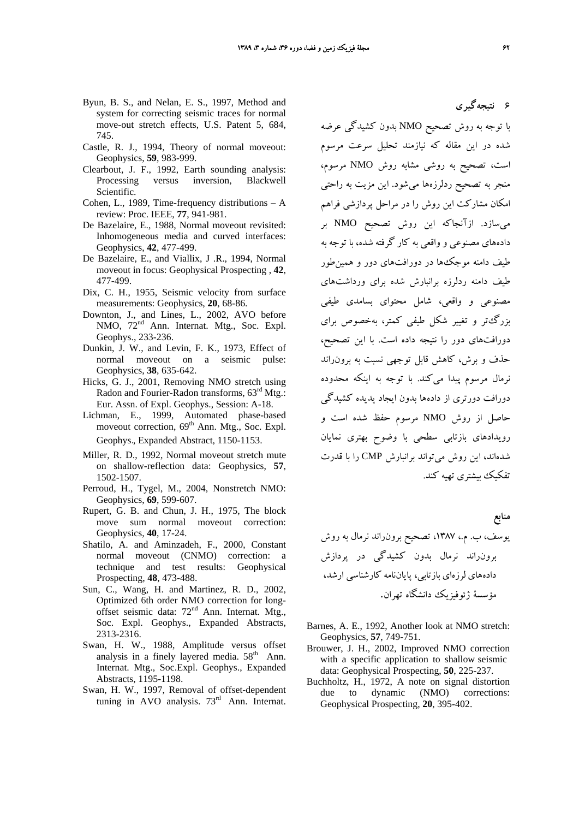**6 نتيجهگيري**

- Byun, B. S., and Nelan, E. S., 1997, Method and system for correcting seismic traces for normal move-out stretch effects, U.S. Patent 5, 684, 745.
- Castle, R. J., 1994, Theory of normal moveout: Geophysics, **59**, 983-999.
- Clearbout, J. F., 1992, Earth sounding analysis: Processing versus inversion, Blackwell Scientific.
- Cohen, L., 1989, Time-frequency distributions A review: Proc. IEEE, **77**, 941-981.
- De Bazelaire, E., 1988, Normal moveout revisited: Inhomogeneous media and curved interfaces: Geophysics, **42**, 477-499.
- De Bazelaire, E., and Viallix, J .R., 1994, Normal moveout in focus: Geophysical Prospecting , **42**, 477-499.
- Dix, C. H., 1955, Seismic velocity from surface measurements: Geophysics, **20**, 68-86.
- Downton, J., and Lines, L., 2002, AVO before NMO,  $72<sup>nd</sup>$  Ann. Internat. Mtg., Soc. Expl. Geophys., 233-236.
- Dunkin, J. W., and Levin, F. K., 1973, Effect of normal moveout on a seismic pulse: Geophysics, **38**, 635-642.
- Hicks, G. J., 2001, Removing NMO stretch using Radon and Fourier-Radon transforms,  $63^{\text{rd}}$  Mtg.: Eur. Assn. of Expl. Geophys., Session: A-18.
- Lichman, E., 1999, Automated phase-based moveout correction,  $69<sup>th</sup>$  Ann. Mtg., Soc. Expl. Geophys., Expanded Abstract, 1150-1153.
- Miller, R. D., 1992, Normal moveout stretch mute on shallow-reflection data: Geophysics, **57**, 1502-1507.
- Perroud, H., Tygel, M., 2004, Nonstretch NMO: Geophysics, **69**, 599-607.
- Rupert, G. B. and Chun, J. H., 1975, The block move sum normal moveout correction: Geophysics, **40**, 17-24.
- Shatilo, A. and Aminzadeh, F., 2000, Constant normal moveout (CNMO) correction: a technique and test results: Geophysical Prospecting, **48**, 473-488.
- Sun, C., Wang, H. and Martinez, R. D., 2002, Optimized 6th order NMO correction for longoffset seismic data: 72nd Ann. Internat. Mtg., Soc. Expl. Geophys., Expanded Abstracts, 2313-2316.
- Swan, H. W., 1988, Amplitude versus offset analysis in a finely layered media.  $58<sup>th</sup>$  Ann. Internat. Mtg., Soc.Expl. Geophys., Expanded Abstracts, 1195-1198.
- Swan, H. W., 1997, Removal of offset-dependent tuning in AVO analysis.  $73<sup>rd</sup>$  Ann. Internat.

با توجه به روش تصحيح NMO بدون كشيدگي عرضه شده در اين مقاله كه نيازمند تحليل سرعت مرسوم است، تصحيح به روشي مشابه روش NMO مرسوم، منجر به تصحيح ردلرزهها ميشود. اين مزيت به راحتي امكان مشاركت اين روش را در مراحل پردازشي فراهم ميسازد. ازآنجاكه اين روش تصحيح NMO بر دادههاي مصنوعي و واقعي به كار گرفته شده، با توجه به طيف دامنه موجكها در دورافتهاي دور و همينطور طيف دامنه ردلرزه برانبارش شده براي ورداشتهاي مصنوعي و واقعي، شامل محتواي بسامدي طيفي بزرگتر و تغيير شكل طيفي كمتر، بهخصوص براي دورافتهاي دور را نتيجه داده است. با اين تصحيح، حذف و برش، كاهش قابل توجهي نسبت به برونراند نرمال مرسوم پيدا ميكند. با توجه به اينكه محدوده دورافت دورتري از دادهها بدون ايجاد پديده كشيدگي حاصل از روش NMO مرسوم حفظ شده است و رويدادهاي بازتابي سطحي با وضوح بهتري نمايان شدهاند، اين روش ميتواند برانبارش CMP را با قدرت تفكيك بيشتري تهيه كند.

## **منابع**

يوسف، ب. م،. ،1387 تصحيح برونراند نرمال به روش برونراند نرمال بدون كشيدگي در پردازش دادههاي لرزهاي بازتابي، پاياننامه كارشناسي ارشد، مؤسسة ژئوفيزيك دانشگاه تهران.

- Barnes, A. E., 1992, Another look at NMO stretch: Geophysics, **57**, 749-751.
- Brouwer, J. H., 2002, Improved NMO correction with a specific application to shallow seismic data: Geophysical Prospecting, **50**, 225-237.
- Buchholtz, H., 1972, A note on signal distortion due to dynamic (NMO) corrections: Geophysical Prospecting, **20**, 395-402.